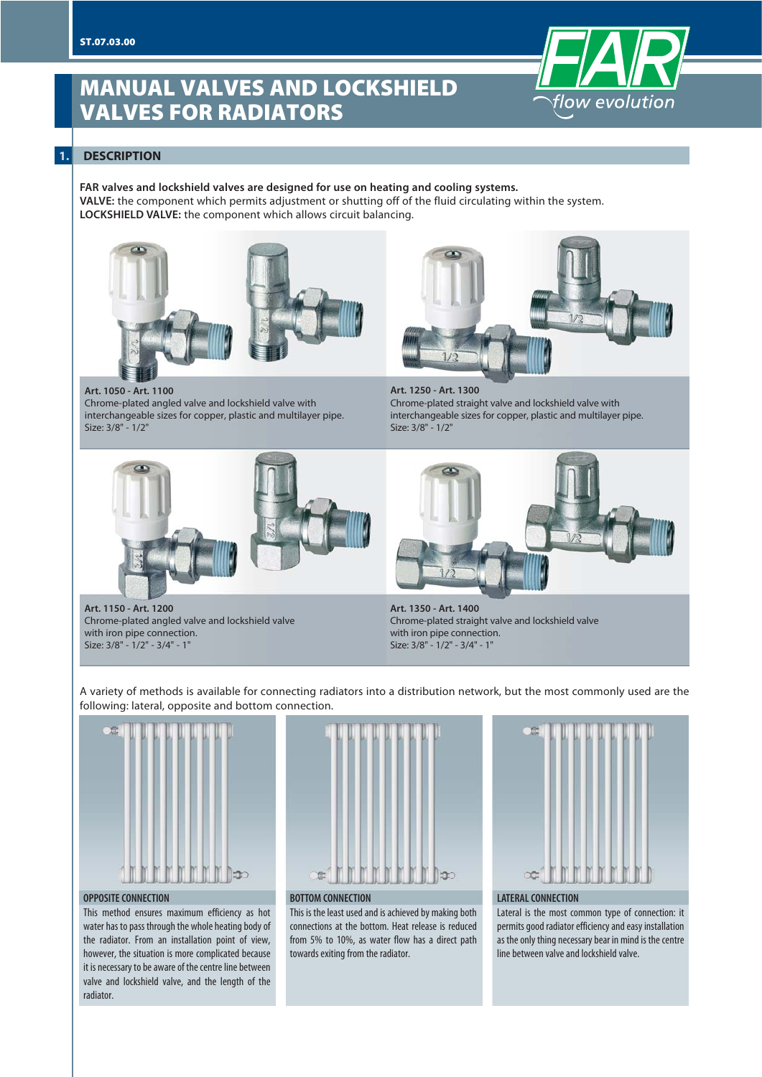# **MANUAL VALVES AND LOCKSHIELD VALVES FOR RADIATORS**



## **1. DESCRIPTION**

**FAR valves and lockshield valves are designed for use on heating and cooling systems. VALVE:** the component which permits adjustment or shutting off of the fluid circulating within the system. **LOCKSHIELD VALVE:** the component which allows circuit balancing.







**Art. 1250 - Art. 1300** Chrome-plated straight valve and lockshield valve with interchangeable sizes for copper, plastic and multilayer pipe. Size: 3/8" - 1/2"





**Art. 1150 - Art. 1200** Chrome-plated angled valve and lockshield valve with iron pipe connection. Size: 3/8" - 1/2" - 3/4" - 1"

**Art. 1350 - Art. 1400** Chrome-plated straight valve and lockshield valve with iron pipe connection. Size: 3/8" - 1/2" - 3/4" - 1"

A variety of methods is available for connecting radiators into a distribution network, but the most commonly used are the following: lateral, opposite and bottom connection.



#### **OPPOSITE CONNECTION**

This method ensures maximum efficiency as hot water has to pass through the whole heating body of the radiator. From an installation point of view, however, the situation is more complicated because it is necessary to be aware of the centre line between valve and lockshield valve, and the length of the radiator.



**BOTTOM CONNECTION**

This is the least used and is achieved by making both connections at the bottom. Heat release is reduced from 5% to 10%, as water flow has a direct path towards exiting from the radiator.



#### **LATERAL CONNECTION**

Lateral is the most common type of connection: it permits good radiator efficiency and easy installation as the only thing necessary bear in mind is the centre line between valve and lockshield valve.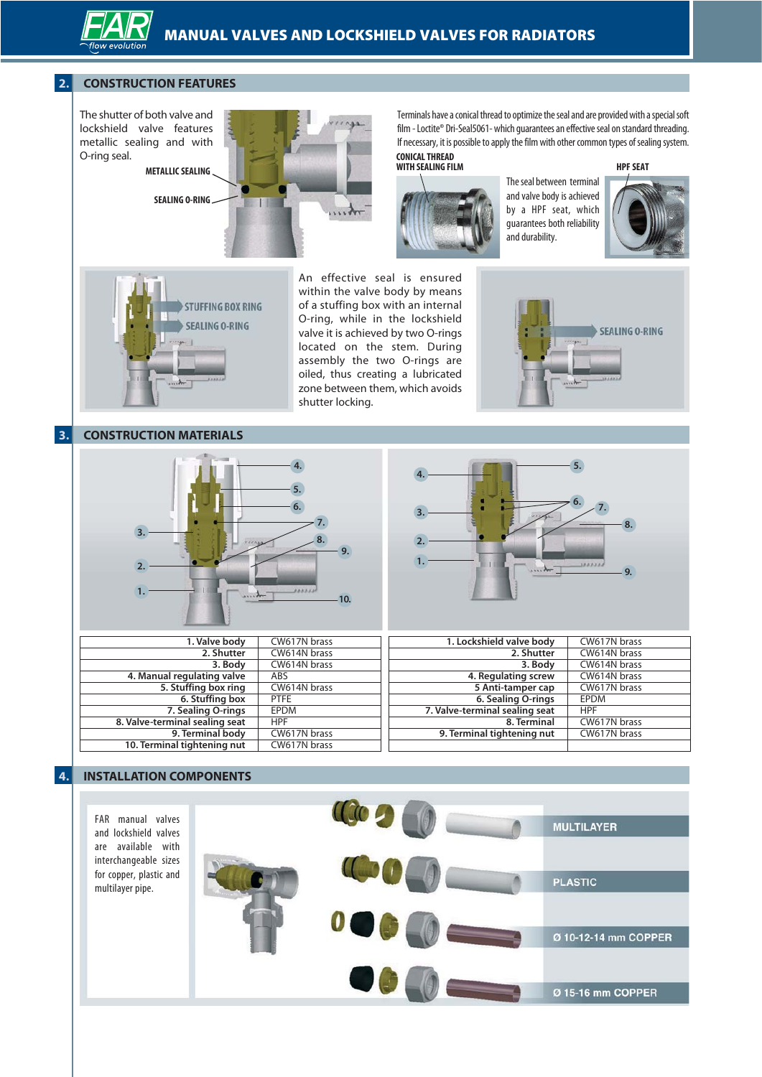# **2. CONSTRUCTION FEATURES**



**METALLIC SEALING**

**SEALING O-RING**



Terminals have a conical thread to optimize the seal and are provided with a special soft film - Loctite® Dri-Seal5061- which guarantees an effective seal on standard threading. If necessary, it is possible to apply the film with other common types of sealing system.<br>CONICAL THREAD

**WITH SEALING FILM HPF SEAT**



The seal between terminal and valve body is achieved by a HPF seat, which guarantees both reliability and durability.



An effective seal is ensured within the valve body by means of a stuffing box with an internal O-ring, while in the lockshield valve it is achieved by two O-rings located on the stem. During assembly the two O-rings are oiled, thus creating a lubricated zone between them, which avoids shutter locking.



# **3.** CONSTRUCTION MATERIALS





| 1. Valve body                  | CW617N brass | 1. Lockshield valve body       | CW617N brass |
|--------------------------------|--------------|--------------------------------|--------------|
| 2. Shutter                     | CW614N brass | 2. Shutter                     | CW614N brass |
| 3. Body                        | CW614N brass | 3. Body                        | CW614N brass |
| 4. Manual regulating valve     | ABS          | 4. Regulating screw            | CW614N brass |
| 5. Stuffing box ring           | CW614N brass | 5 Anti-tamper cap              | CW617N brass |
| 6. Stuffing box                | <b>PTFE</b>  | 6. Sealing O-rings             | <b>EPDM</b>  |
| 7. Sealing O-rings             | EPDM         | 7. Valve-terminal sealing seat | <b>HPF</b>   |
| 8. Valve-terminal sealing seat | <b>HPF</b>   | 8. Terminal                    | CW617N brass |
| 9. Terminal body               | CW617N brass | 9. Terminal tightening nut     | CW617N brass |
| 10. Terminal tightening nut    | CW617N brass |                                |              |

# **4. INSTALLATION COMPONENTS**

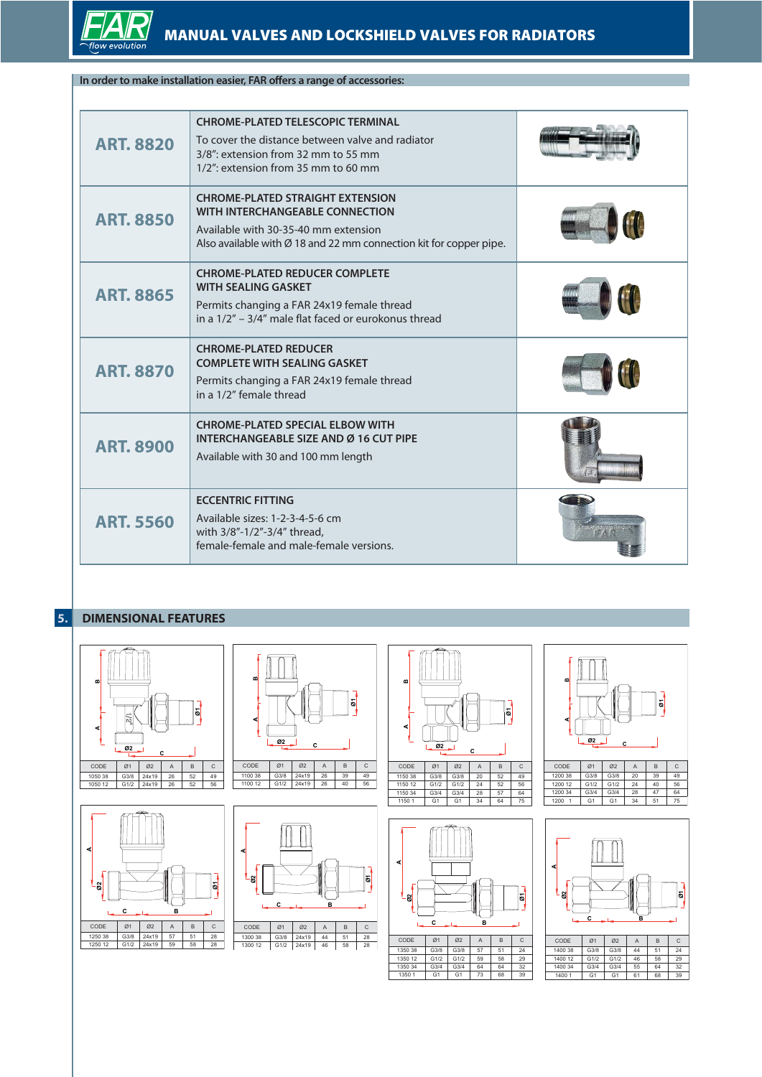

# **In order to make installation easier, FAR offers a range of accessories:**

| <b>ART. 8820</b> | <b>CHROME-PLATED TELESCOPIC TERMINAL</b><br>To cover the distance between valve and radiator<br>3/8": extension from 32 mm to 55 mm<br>1/2": extension from 35 mm to 60 mm                           |  |
|------------------|------------------------------------------------------------------------------------------------------------------------------------------------------------------------------------------------------|--|
| <b>ART. 8850</b> | <b>CHROME-PLATED STRAIGHT EXTENSION</b><br>WITH INTERCHANGEABLE CONNECTION<br>Available with 30-35-40 mm extension<br>Also available with $\varnothing$ 18 and 22 mm connection kit for copper pipe. |  |
| <b>ART. 8865</b> | <b>CHROME-PLATED REDUCER COMPLETE</b><br><b>WITH SEALING GASKET</b><br>Permits changing a FAR 24x19 female thread<br>in a 1/2" – 3/4" male flat faced or eurokonus thread                            |  |
| <b>ART. 8870</b> | <b>CHROME-PLATED REDUCER</b><br><b>COMPLETE WITH SEALING GASKET</b><br>Permits changing a FAR 24x19 female thread<br>in a 1/2" female thread                                                         |  |
| <b>ART. 8900</b> | <b>CHROME-PLATED SPECIAL ELBOW WITH</b><br><b>INTERCHANGEABLE SIZE AND Ø 16 CUT PIPE</b><br>Available with 30 and 100 mm length                                                                      |  |
| <b>ART. 5560</b> | <b>ECCENTRIC FITTING</b><br>Available sizes: 1-2-3-4-5-6 cm<br>with 3/8"-1/2"-3/4" thread,<br>female-female and male-female versions.                                                                |  |

# **5. DIMENSIONAL FEATURES**



 $135034$  G3/4 G3/4 64 64 1350 1 G1 G1 73 68 39 1400 34 G3/4 G3/4

 $1400$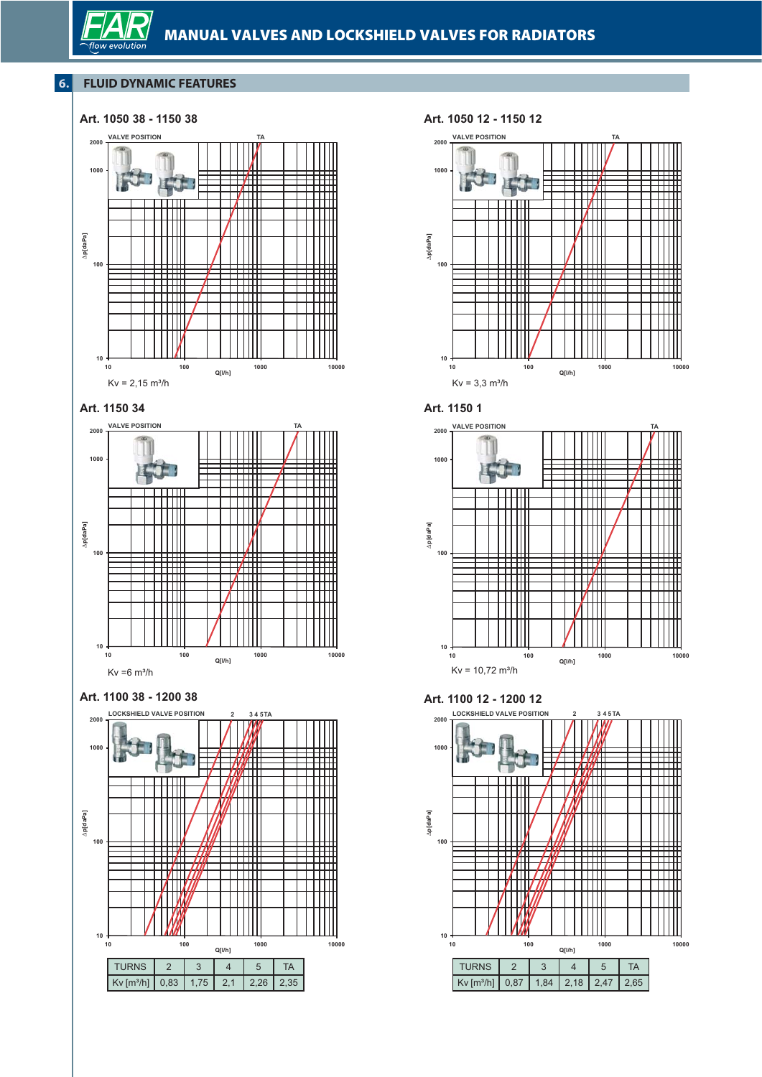# **6. FLUID DYNAMIC FEATURES**

flow



### **Art. 1050 12 - 1150 12**









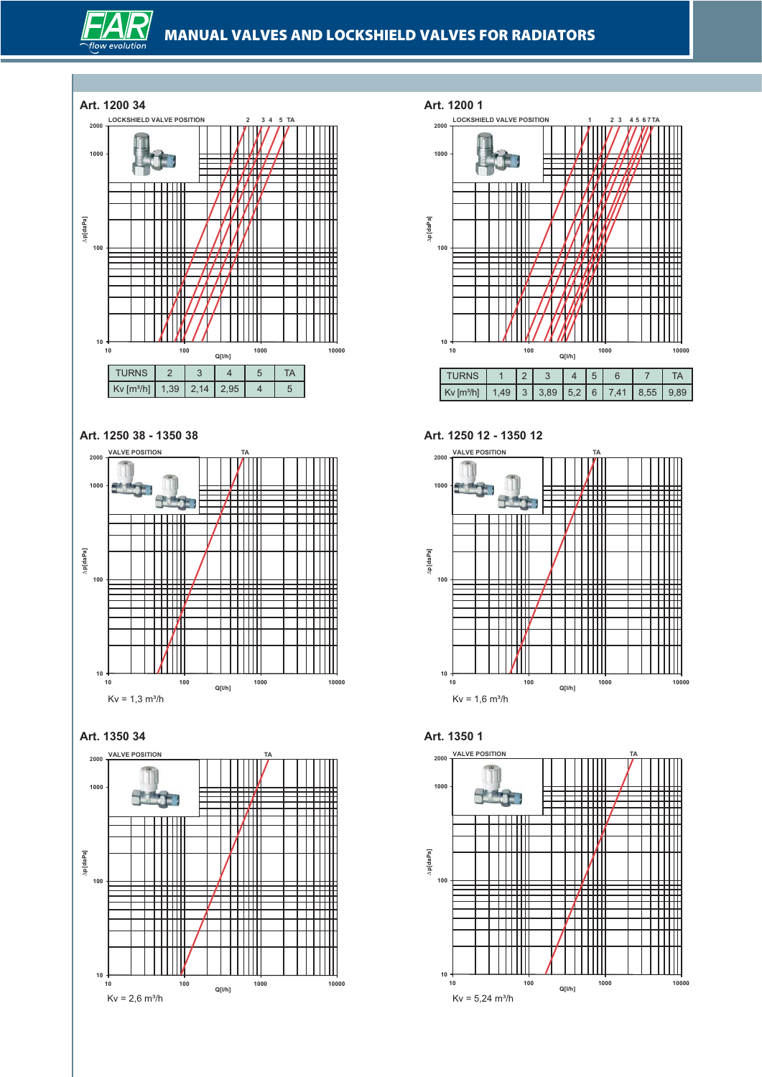